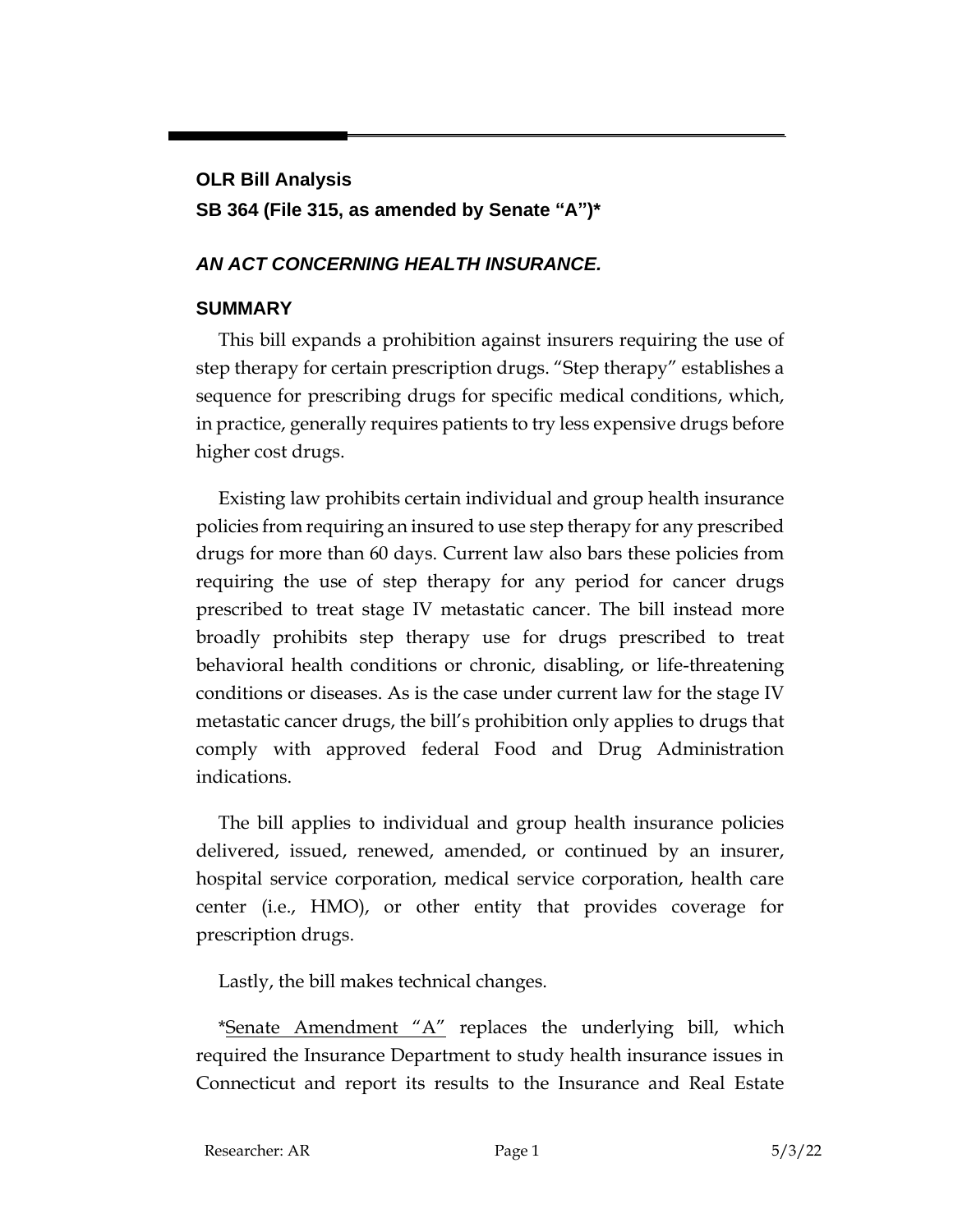## **OLR Bill Analysis SB 364 (File 315, as amended by Senate "A")\***

## *AN ACT CONCERNING HEALTH INSURANCE.*

## **SUMMARY**

This bill expands a prohibition against insurers requiring the use of step therapy for certain prescription drugs. "Step therapy" establishes a sequence for prescribing drugs for specific medical conditions, which, in practice, generally requires patients to try less expensive drugs before higher cost drugs.

Existing law prohibits certain individual and group health insurance policies from requiring an insured to use step therapy for any prescribed drugs for more than 60 days. Current law also bars these policies from requiring the use of step therapy for any period for cancer drugs prescribed to treat stage IV metastatic cancer. The bill instead more broadly prohibits step therapy use for drugs prescribed to treat behavioral health conditions or chronic, disabling, or life-threatening conditions or diseases. As is the case under current law for the stage IV metastatic cancer drugs, the bill's prohibition only applies to drugs that comply with approved federal Food and Drug Administration indications.

The bill applies to individual and group health insurance policies delivered, issued, renewed, amended, or continued by an insurer, hospital service corporation, medical service corporation, health care center (i.e., HMO), or other entity that provides coverage for prescription drugs.

Lastly, the bill makes technical changes.

\*Senate Amendment "A" replaces the underlying bill, which required the Insurance Department to study health insurance issues in Connecticut and report its results to the Insurance and Real Estate